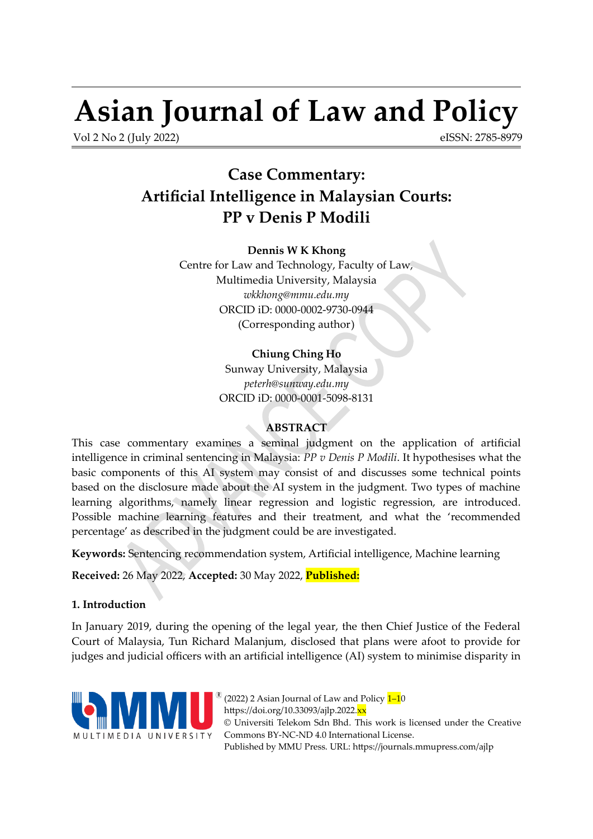# **Asian Journal of Law and Policy**

Vol 2 No 2 (July 2022)

<span id="page-0-0"></span>eISSN: 2785-8979

# **Case Commentary: Artificial Intelligence in Malaysian Courts: PP v Denis P Modili**

**Dennis W K Khong** Centre for Law and Technology, Faculty of Law, Multimedia University, Malaysia *[wkkhong@mmu.edu.my](mailto:wkkhong@mmu.edu.my)* ORCID iD: [0000-0002-9730-0944](https://orcid.org/0000-0002-9730-0944) (Corresponding author)

# **Chiung Ching Ho**

Sunway University, Malaysia *[peterh@sunway.edu.my](mailto:ppeterh@sunway.edu.my)* ORCID iD: [0000-0001-5098-8131](https://orcid.org/0000-0001-5098-8131)

# **ABSTRACT**

This case commentary examines a seminal judgment on the application of artificial intelligence in criminal sentencing in Malaysia: *PP v Denis P Modili*. It hypothesises what the basic components of this AI system may consist of and discusses some technical points based on the disclosure made about the AI system in the judgment. Two types of machine learning algorithms, namely linear regression and logistic regression, are introduced. Possible machine learning features and their treatment, and what the 'recommended percentage' as described in the judgment could be are investigated.

**Keywords:** Sentencing recommendation system, Artificial intelligence, Machine learning

**Received:** 26 May 2022, **Accepted:** 30 May 2022, **Published:**

# **1. Introduction**

In January 2019, during the opening of the legal year, the then Chief Justice of the Federal Court of Malaysia, Tun Richard Malanjum, disclosed that plans were afoot to provide for judges and judicial officers with an artificial intelligence (AI) system to minimise disparity in



(2022) 2 Asian Journal of Law and Policy  $1-10$  $1-10$ https://doi.org/10.33093/ajlp.2022.<mark>xx</mark> © Universiti Telekom Sdn Bhd. This work is licensed under the [Creative](https://creativecommons.org/licenses/by-nc-nd/4.0/) [Commons BY-NC-ND 4.0 International License.](https://creativecommons.org/licenses/by-nc-nd/4.0/) Published by MMU Press. URL:<https://journals.mmupress.com/ajlp>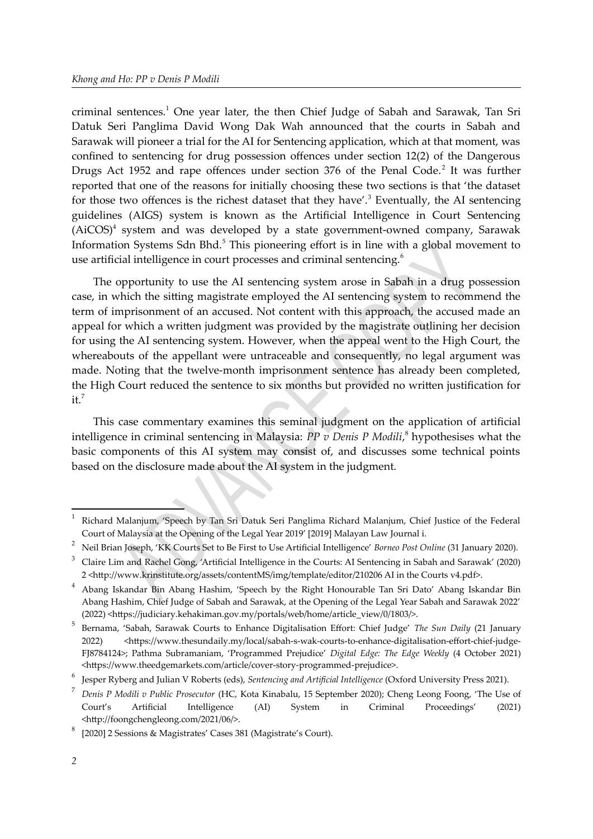<span id="page-1-2"></span><span id="page-1-0"></span>criminal sentences.<sup>[1](#page-1-1)</sup> One year later, the then Chief Judge of Sabah and Sarawak, Tan Sri Datuk Seri Panglima David Wong Dak Wah announced that the courts in Sabah and Sarawak will pioneer a trial for the AI for Sentencing application, which at that moment, was confined to sentencing for drug possession offences under section 12(2) of the Dangerous Drugs Act 195[2](#page-1-3) and rape offences under section 376 of the Penal Code.<sup>2</sup> It was further reported that one of the reasons for initially choosing these two sections is that 'the dataset for those two offences is the richest dataset that they have'.<sup>[3](#page-1-5)</sup> Eventually, the AI sentencing guidelines (AIGS) system is known as the Artificial Intelligence in Court Sentencing  $(AiCOS)^4$  $(AiCOS)^4$  system and was developed by a state government-owned company, Sarawak Information Systems Sdn Bhd.<sup>[5](#page-1-9)</sup> This pioneering effort is in line with a global movement to use artificial intelligence in court processes and criminal sentencing.<sup>[6](#page-1-11)</sup>

<span id="page-1-10"></span><span id="page-1-8"></span><span id="page-1-6"></span><span id="page-1-4"></span>The opportunity to use the AI sentencing system arose in Sabah in a drug possession case, in which the sitting magistrate employed the AI sentencing system to recommend the term of imprisonment of an accused. Not content with this approach, the accused made an appeal for which a written judgment was provided by the magistrate outlining her decision for using the AI sentencing system. However, when the appeal went to the High Court, the whereabouts of the appellant were untraceable and consequently, no legal argument was made. Noting that the twelve-month imprisonment sentence has already been completed, the High Court reduced the sentence to six months but provided no written justification for  $it^7$  $it^7$ 

<span id="page-1-14"></span><span id="page-1-12"></span>This case commentary examines this seminal judgment on the application of artificial intelligence in criminal sentencing in Malaysia: *PP v Denis P Modili*, [8](#page-1-15) hypothesises what the basic components of this AI system may consist of, and discusses some technical points based on the disclosure made about the AI system in the judgment.

<span id="page-1-1"></span>[<sup>1</sup>](#page-1-0)Richard Malanjum, 'Speech by Tan Sri Datuk Seri Panglima Richard Malanjum, Chief Justice of the Federal Court of Malaysia at the Opening of the Legal Year 2019' [2019] Malayan Law Journal i.

<span id="page-1-3"></span>[<sup>2</sup>](#page-1-2)Neil Brian Joseph, 'KK Courts Set to Be First to Use Artificial Intelligence' *Borneo Post Online* (31 January 2020).

<span id="page-1-5"></span>[<sup>3</sup>](#page-1-4)Claire Lim and Rachel Gong, 'Artificial Intelligence in the Courts: AI Sentencing in Sabah and Sarawak' (2020) 2 <http://www.krinstitute.org/assets/contentMS/img/template/editor/210206 AI in the Courts v4.pdf>.

<span id="page-1-7"></span>[<sup>4</sup>](#page-1-6) Abang Iskandar Bin Abang Hashim, 'Speech by the Right Honourable Tan Sri Dato' Abang Iskandar Bin Abang Hashim, Chief Judge of Sabah and Sarawak, at the Opening of the Legal Year Sabah and Sarawak 2022' (2022) <https://judiciary.kehakiman.gov.my/portals/web/home/article\_view/0/1803/>.

<span id="page-1-9"></span><sup>&</sup>lt;sup>[5](#page-1-8)</sup> Bernama, 'Sabah, Sarawak Courts to Enhance Digitalisation Effort: Chief Judge' *The Sun Daily* (21 January 2022) <https://www.thesundaily.my/local/sabah-s-wak-courts-to-enhance-digitalisation-effort-chief-judge-FJ8784124>; Pathma Subramaniam, 'Programmed Prejudice' *Digital Edge: The Edge Weekly* (4 October 2021) <https://www.theedgemarkets.com/article/cover-story-programmed-prejudice>.

<span id="page-1-11"></span>[<sup>6</sup>](#page-1-10) Jesper Ryberg and Julian V Roberts (eds), *Sentencing and Artificial Intelligence* (Oxford University Press 2021).

<span id="page-1-13"></span>[<sup>7</sup>](#page-1-12) *Denis P Modili v Public Prosecutor* (HC, Kota Kinabalu, 15 September 2020); Cheng Leong Foong, 'The Use of Court's Artificial Intelligence (AI) System in Criminal Proceedings'  $(2021)$ <http://foongchengleong.com/2021/06/>.

<span id="page-1-15"></span>[<sup>8</sup>](#page-1-14)[2020] 2 Sessions & Magistrates' Cases 381 (Magistrate's Court).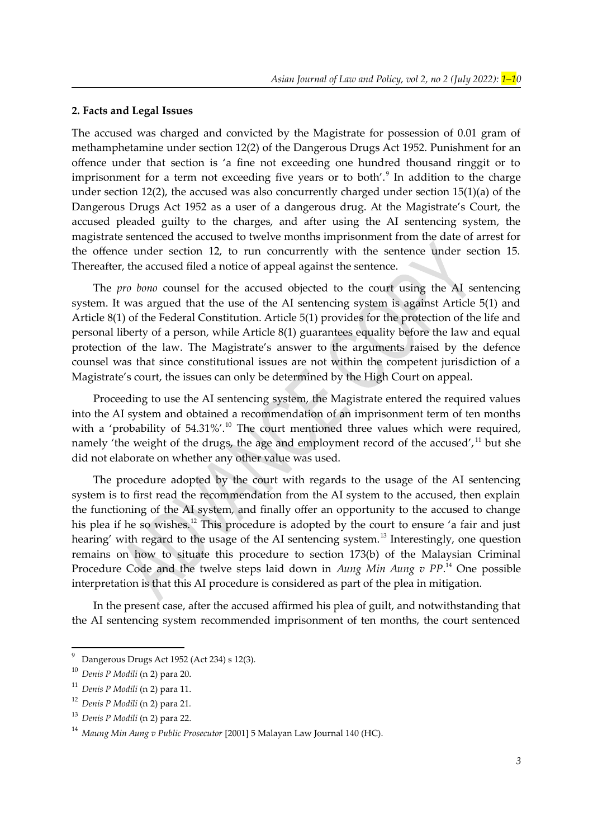#### **2. Facts and Legal Issues**

<span id="page-2-0"></span>The accused was charged and convicted by the Magistrate for possession of 0.01 gram of methamphetamine under section 12(2) of the Dangerous Drugs Act 1952. Punishment for an offence under that section is 'a fine not exceeding one hundred thousand ringgit or to imprisonment for a term not exceeding five years or to both'. $9$  In addition to the charge under section 12(2), the accused was also concurrently charged under section 15(1)(a) of the Dangerous Drugs Act 1952 as a user of a dangerous drug. At the Magistrate's Court, the accused pleaded guilty to the charges, and after using the AI sentencing system, the magistrate sentenced the accused to twelve months imprisonment from the date of arrest for the offence under section 12, to run concurrently with the sentence under section 15. Thereafter, the accused filed a notice of appeal against the sentence.

The *pro bono* counsel for the accused objected to the court using the AI sentencing system. It was argued that the use of the AI sentencing system is against Article 5(1) and Article 8(1) of the Federal Constitution. Article 5(1) provides for the protection of the life and personal liberty of a person, while Article 8(1) guarantees equality before the law and equal protection of the law. The Magistrate's answer to the arguments raised by the defence counsel was that since constitutional issues are not within the competent jurisdiction of a Magistrate's court, the issues can only be determined by the High Court on appeal.

<span id="page-2-2"></span>Proceeding to use the AI sentencing system, the Magistrate entered the required values into the AI system and obtained a recommendation of an imprisonment term of ten months with a 'probability of  $54.31\%$ '.<sup>[10](#page-2-3)</sup> The court mentioned three values which were required, namely 'the weight of the drugs, the age and employment record of the accused', <sup>[11](#page-2-5)</sup> but she did not elaborate on whether any other value was used.

<span id="page-2-8"></span><span id="page-2-6"></span><span id="page-2-4"></span>The procedure adopted by the court with regards to the usage of the AI sentencing system is to first read the recommendation from the AI system to the accused, then explain the functioning of the AI system, and finally offer an opportunity to the accused to change his plea if he so wishes.<sup>[12](#page-2-7)</sup> This procedure is adopted by the court to ensure 'a fair and just hearing' with regard to the usage of the AI sentencing system.<sup>[13](#page-2-9)</sup> Interestingly, one question remains on how to situate this procedure to section 173(b) of the Malaysian Criminal Procedure Code and the twelve steps laid down in *Aung Min Aung v PP*. [14](#page-2-11) One possible interpretation is that this AI procedure is considered as part of the plea in mitigation.

<span id="page-2-10"></span>In the present case, after the accused affirmed his plea of guilt, and notwithstanding that the AI sentencing system recommended imprisonment of ten months, the court sentenced

<span id="page-2-1"></span><sup>&</sup>lt;sup>[9](#page-2-0)</sup> Dangerous Drugs Act 1952 (Act 234) s 12(3).

<span id="page-2-3"></span>[<sup>10</sup>](#page-2-2) *Denis P Modili* (n [2](#page-1-15)) para 20.

<span id="page-2-5"></span>[<sup>11</sup>](#page-2-4) *Denis P Modili* (n [2](#page-1-15)) para 11.

<span id="page-2-7"></span>[<sup>12</sup>](#page-2-6) *Denis P Modili* (n [2](#page-1-15)) para 21*.*

<span id="page-2-9"></span>[<sup>13</sup>](#page-2-8) *Denis P Modili* (n [2](#page-1-15)) para 22.

<span id="page-2-11"></span>[<sup>14</sup>](#page-2-10) *Maung Min Aung v Public Prosecutor* [2001] 5 Malayan Law Journal 140 (HC).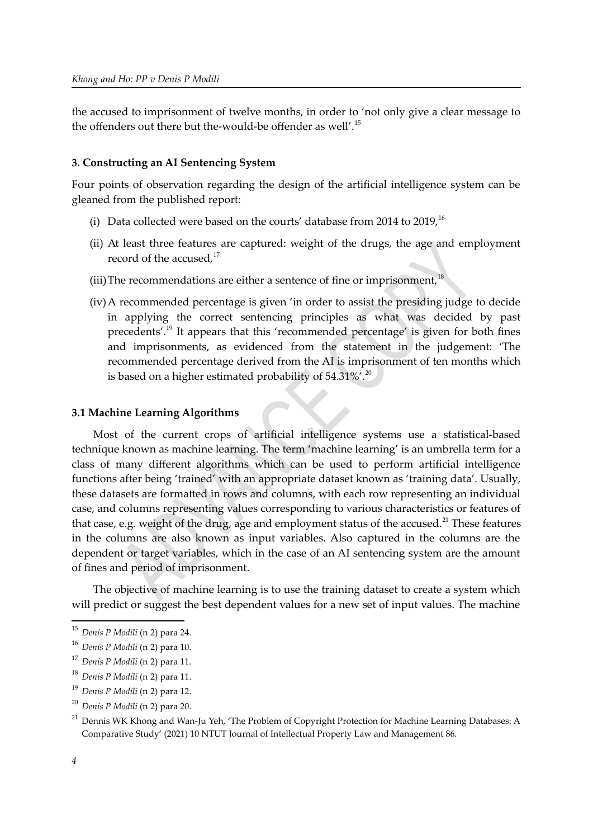the accused to imprisonment of twelve months, in order to 'not only give a clear message to the offenders out there but the-would-be offender as well'.[15](#page-3-1)

### **3. Constructing an AI Sentencing System**

Four points of observation regarding the design of the artificial intelligence system can be gleaned from the published report:

- <span id="page-3-2"></span><span id="page-3-0"></span>(i) Data collected were based on the courts' database from 2014 to 2019.<sup>[16](#page-3-3)</sup>
- <span id="page-3-4"></span>(ii) At least three features are captured: weight of the drugs, the age and employment record of the accused,<sup>[17](#page-3-5)</sup>
- (iii) The recommendations are either a sentence of fine or imprisonment, $18$
- <span id="page-3-10"></span><span id="page-3-8"></span><span id="page-3-6"></span>(iv)A recommended percentage is given 'in order to assist the presiding judge to decide in applying the correct sentencing principles as what was decided by past precedents'.[19](#page-3-9) It appears that this 'recommended percentage' is given for both fines and imprisonments, as evidenced from the statement in the judgement: 'The recommended percentage derived from the AI is imprisonment of ten months which is based on a higher estimated probability of  $54.31\%$ .<sup>[20](#page-3-11)</sup>

#### **3.1 Machine Learning Algorithms**

Most of the current crops of artificial intelligence systems use a statistical-based technique known as machine learning. The term 'machine learning' is an umbrella term for a class of many different algorithms which can be used to perform artificial intelligence functions after being 'trained' with an appropriate dataset known as 'training data'. Usually, these datasets are formatted in rows and columns, with each row representing an individual case, and columns representing values corresponding to various characteristics or features of that case, e.g. weight of the drug, age and employment status of the accused.<sup>[21](#page-3-13)</sup> These features in the columns are also known as input variables. Also captured in the columns are the dependent or target variables, which in the case of an AI sentencing system are the amount of fines and period of imprisonment.

<span id="page-3-12"></span>The objective of machine learning is to use the training dataset to create a system which will predict or suggest the best dependent values for a new set of input values. The machine

<span id="page-3-1"></span>[<sup>15</sup>](#page-3-0) *Denis P Modili* (n [2](#page-1-15)) para 24.

<span id="page-3-3"></span>[<sup>16</sup>](#page-3-2) *Denis P Modili* (n [2](#page-1-15)) para 10.

<span id="page-3-5"></span>[<sup>17</sup>](#page-3-4) *Denis P Modili* (n [2](#page-1-15)) para 11.

<span id="page-3-7"></span>[<sup>18</sup>](#page-3-6) *Denis P Modili* (n [2](#page-1-15)) para 11.

<span id="page-3-9"></span>[<sup>19</sup>](#page-3-8) *Denis P Modili* (n [2](#page-1-15)) para 12.

<span id="page-3-11"></span>[<sup>20</sup>](#page-3-10) *Denis P Modili* (n [2](#page-1-15)) para 20.

<span id="page-3-13"></span><sup>&</sup>lt;sup>[21](#page-3-12)</sup> Dennis WK Khong and Wan-Ju Yeh, 'The Problem of Copyright Protection for Machine Learning Databases: A Comparative Study' (2021) 10 NTUT Journal of Intellectual Property Law and Management 86.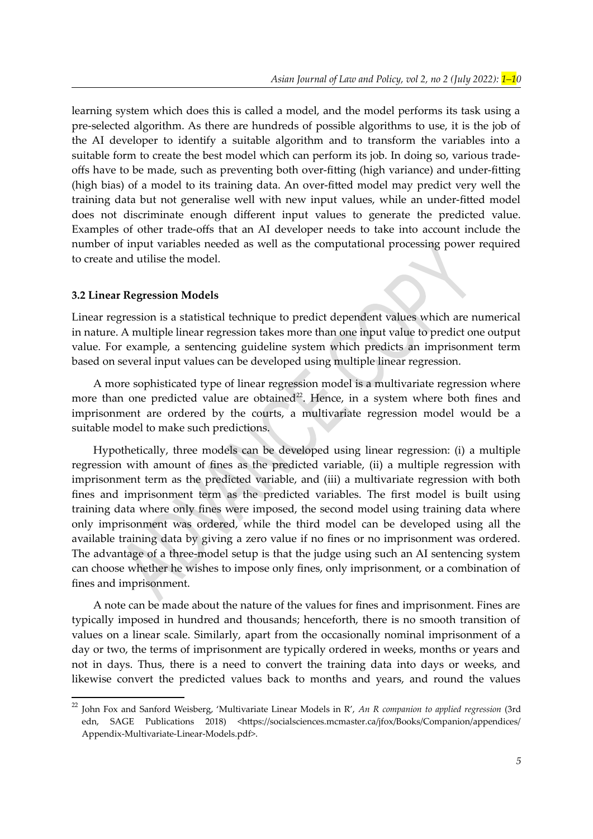learning system which does this is called a model, and the model performs its task using a pre-selected algorithm. As there are hundreds of possible algorithms to use, it is the job of the AI developer to identify a suitable algorithm and to transform the variables into a suitable form to create the best model which can perform its job. In doing so, various tradeoffs have to be made, such as preventing both over-fitting (high variance) and under-fitting (high bias) of a model to its training data. An over-fitted model may predict very well the training data but not generalise well with new input values, while an under-fitted model does not discriminate enough different input values to generate the predicted value. Examples of other trade-offs that an AI developer needs to take into account include the number of input variables needed as well as the computational processing power required to create and utilise the model.

#### **3.2 Linear Regression Models**

Linear regression is a statistical technique to predict dependent values which are numerical in nature. A multiple linear regression takes more than one input value to predict one output value. For example, a sentencing guideline system which predicts an imprisonment term based on several input values can be developed using multiple linear regression.

<span id="page-4-0"></span>A more sophisticated type of linear regression model is a multivariate regression where more than one predicted value are obtained<sup>[22](#page-4-1)</sup>. Hence, in a system where both fines and imprisonment are ordered by the courts, a multivariate regression model would be a suitable model to make such predictions.

Hypothetically, three models can be developed using linear regression: (i) a multiple regression with amount of fines as the predicted variable, (ii) a multiple regression with imprisonment term as the predicted variable, and (iii) a multivariate regression with both fines and imprisonment term as the predicted variables. The first model is built using training data where only fines were imposed, the second model using training data where only imprisonment was ordered, while the third model can be developed using all the available training data by giving a zero value if no fines or no imprisonment was ordered. The advantage of a three-model setup is that the judge using such an AI sentencing system can choose whether he wishes to impose only fines, only imprisonment, or a combination of fines and imprisonment.

A note can be made about the nature of the values for fines and imprisonment. Fines are typically imposed in hundred and thousands; henceforth, there is no smooth transition of values on a linear scale. Similarly, apart from the occasionally nominal imprisonment of a day or two, the terms of imprisonment are typically ordered in weeks, months or years and not in days. Thus, there is a need to convert the training data into days or weeks, and likewise convert the predicted values back to months and years, and round the values

<span id="page-4-1"></span>[<sup>22</sup>](#page-4-0) John Fox and Sanford Weisberg, 'Multivariate Linear Models in R', *An R companion to applied regression* (3rd edn, SAGE Publications 2018) <https://socialsciences.mcmaster.ca/jfox/Books/Companion/appendices/ Appendix-Multivariate-Linear-Models.pdf>.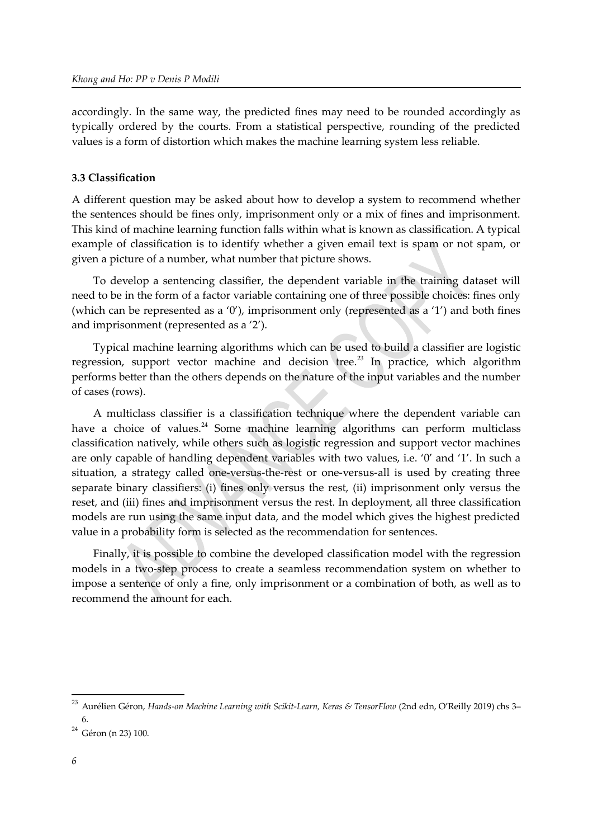accordingly. In the same way, the predicted fines may need to be rounded accordingly as typically ordered by the courts. From a statistical perspective, rounding of the predicted values is a form of distortion which makes the machine learning system less reliable.

#### **3.3 Classification**

A different question may be asked about how to develop a system to recommend whether the sentences should be fines only, imprisonment only or a mix of fines and imprisonment. This kind of machine learning function falls within what is known as classification. A typical example of classification is to identify whether a given email text is spam or not spam, or given a picture of a number, what number that picture shows.

To develop a sentencing classifier, the dependent variable in the training dataset will need to be in the form of a factor variable containing one of three possible choices: fines only (which can be represented as a '0'), imprisonment only (represented as a '1') and both fines and imprisonment (represented as a '2').

<span id="page-5-1"></span>Typical machine learning algorithms which can be used to build a classifier are logistic regression, support vector machine and decision tree.<sup>[23](#page-5-0)</sup> In practice, which algorithm performs better than the others depends on the nature of the input variables and the number of cases (rows).

<span id="page-5-2"></span>A multiclass classifier is a classification technique where the dependent variable can have a choice of values.<sup>[24](#page-5-3)</sup> Some machine learning algorithms can perform multiclass classification natively, while others such as logistic regression and support vector machines are only capable of handling dependent variables with two values, i.e. '0' and '1'. In such a situation, a strategy called one-versus-the-rest or one-versus-all is used by creating three separate binary classifiers: (i) fines only versus the rest, (ii) imprisonment only versus the reset, and (iii) fines and imprisonment versus the rest. In deployment, all three classification models are run using the same input data, and the model which gives the highest predicted value in a probability form is selected as the recommendation for sentences.

Finally, it is possible to combine the developed classification model with the regression models in a two-step process to create a seamless recommendation system on whether to impose a sentence of only a fine, only imprisonment or a combination of both, as well as to recommend the amount for each.

<span id="page-5-0"></span>[<sup>23</sup>](#page-5-1) Aurélien Géron, *Hands-on Machine Learning with Scikit-Learn, Keras & TensorFlow* (2nd edn, O'Reilly 2019) chs 3– 6.

<span id="page-5-3"></span> $24$  Géron (n [23\)](#page-5-0) 100.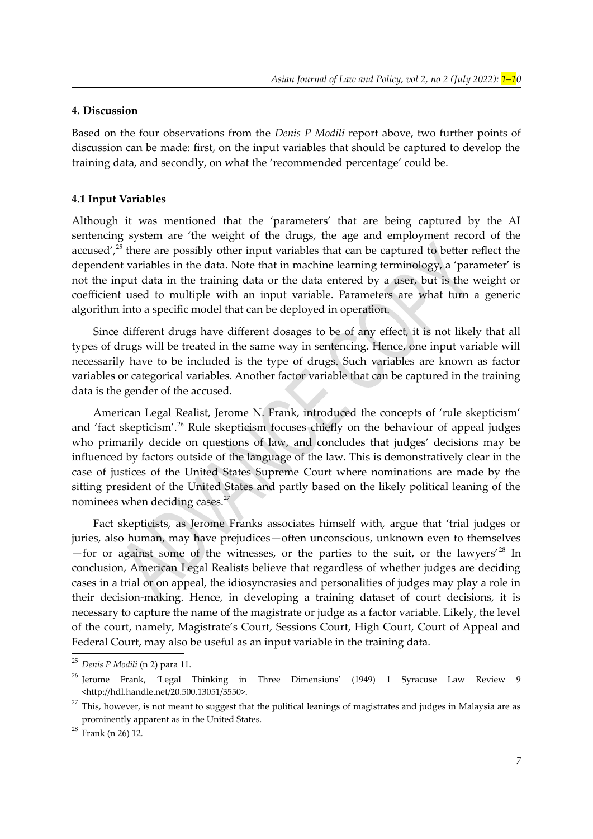#### **4. Discussion**

Based on the four observations from the *Denis P Modili* report above, two further points of discussion can be made: first, on the input variables that should be captured to develop the training data, and secondly, on what the 'recommended percentage' could be.

#### **4.1 Input Variables**

<span id="page-6-0"></span>Although it was mentioned that the 'parameters' that are being captured by the AI sentencing system are 'the weight of the drugs, the age and employment record of the accused',  $25$  there are possibly other input variables that can be captured to better reflect the dependent variables in the data. Note that in machine learning terminology, a 'parameter' is not the input data in the training data or the data entered by a user, but is the weight or coefficient used to multiple with an input variable. Parameters are what turn a generic algorithm into a specific model that can be deployed in operation.

Since different drugs have different dosages to be of any effect, it is not likely that all types of drugs will be treated in the same way in sentencing. Hence, one input variable will necessarily have to be included is the type of drugs. Such variables are known as factor variables or categorical variables. Another factor variable that can be captured in the training data is the gender of the accused.

<span id="page-6-2"></span>American Legal Realist, Jerome N. Frank, introduced the concepts of 'rule skepticism' and 'fact skepticism'.<sup>[26](#page-6-3)</sup> Rule skepticism focuses chiefly on the behaviour of appeal judges who primarily decide on questions of law, and concludes that judges' decisions may be influenced by factors outside of the language of the law. This is demonstratively clear in the case of justices of the United States Supreme Court where nominations are made by the sitting president of the United States and partly based on the likely political leaning of the nominees when deciding cases.<sup>[27](#page-6-5)</sup>

<span id="page-6-6"></span><span id="page-6-4"></span>Fact skepticists, as Jerome Franks associates himself with, argue that 'trial judges or juries, also human, may have prejudices—often unconscious, unknown even to themselves —for or against some of the witnesses, or the parties to the suit, or the lawyers<sup>'[28](#page-6-7)</sup> In conclusion, American Legal Realists believe that regardless of whether judges are deciding cases in a trial or on appeal, the idiosyncrasies and personalities of judges may play a role in their decision-making. Hence, in developing a training dataset of court decisions, it is necessary to capture the name of the magistrate or judge as a factor variable. Likely, the level of the court, namely, Magistrate's Court, Sessions Court, High Court, Court of Appeal and Federal Court, may also be useful as an input variable in the training data.

<span id="page-6-1"></span>[<sup>25</sup>](#page-6-0) *Denis P Modili* (n [2](#page-1-15)) para 11.

<span id="page-6-3"></span><sup>&</sup>lt;sup>[26](#page-6-2)</sup> Ierome Frank, 'Legal Thinking in Three Dimensions' (1949) 1 Syracuse Law Review 9 Review 9 <http://hdl.handle.net/20.500.13051/3550>.

<span id="page-6-5"></span><sup>&</sup>lt;sup>[27](#page-6-4)</sup> This, however, is not meant to suggest that the political leanings of magistrates and judges in Malaysia are as prominently apparent as in the United States.

<span id="page-6-7"></span> $^{28}$  $^{28}$  $^{28}$  Frank (n 26) 12.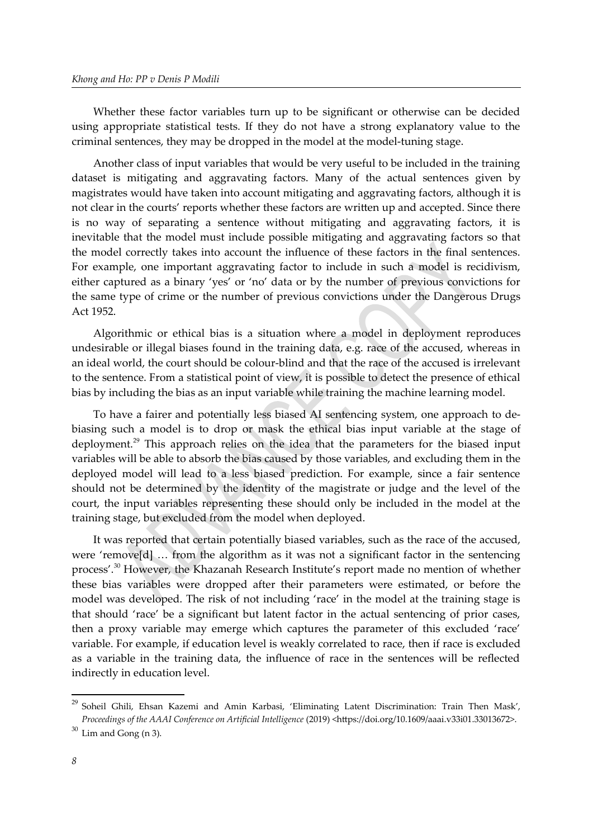Whether these factor variables turn up to be significant or otherwise can be decided using appropriate statistical tests. If they do not have a strong explanatory value to the criminal sentences, they may be dropped in the model at the model-tuning stage.

Another class of input variables that would be very useful to be included in the training dataset is mitigating and aggravating factors. Many of the actual sentences given by magistrates would have taken into account mitigating and aggravating factors, although it is not clear in the courts' reports whether these factors are written up and accepted. Since there is no way of separating a sentence without mitigating and aggravating factors, it is inevitable that the model must include possible mitigating and aggravating factors so that the model correctly takes into account the influence of these factors in the final sentences. For example, one important aggravating factor to include in such a model is recidivism, either captured as a binary 'yes' or 'no' data or by the number of previous convictions for the same type of crime or the number of previous convictions under the Dangerous Drugs Act 1952.

Algorithmic or ethical bias is a situation where a model in deployment reproduces undesirable or illegal biases found in the training data, e.g. race of the accused, whereas in an ideal world, the court should be colour-blind and that the race of the accused is irrelevant to the sentence. From a statistical point of view, it is possible to detect the presence of ethical bias by including the bias as an input variable while training the machine learning model.

<span id="page-7-0"></span>To have a fairer and potentially less biased AI sentencing system, one approach to debiasing such a model is to drop or mask the ethical bias input variable at the stage of deployment.<sup>[29](#page-7-1)</sup> This approach relies on the idea that the parameters for the biased input variables will be able to absorb the bias caused by those variables, and excluding them in the deployed model will lead to a less biased prediction. For example, since a fair sentence should not be determined by the identity of the magistrate or judge and the level of the court, the input variables representing these should only be included in the model at the training stage, but excluded from the model when deployed.

<span id="page-7-2"></span>It was reported that certain potentially biased variables, such as the race of the accused, were 'remove[d] … from the algorithm as it was not a significant factor in the sentencing process'.<sup>[30](#page-7-3)</sup> However, the Khazanah Research Institute's report made no mention of whether these bias variables were dropped after their parameters were estimated, or before the model was developed. The risk of not including 'race' in the model at the training stage is that should 'race' be a significant but latent factor in the actual sentencing of prior cases, then a proxy variable may emerge which captures the parameter of this excluded 'race' variable. For example, if education level is weakly correlated to race, then if race is excluded as a variable in the training data, the influence of race in the sentences will be reflected indirectly in education level.

<span id="page-7-1"></span><sup>&</sup>lt;sup>[29](#page-7-0)</sup> Soheil Ghili, Ehsan Kazemi and Amin Karbasi, 'Eliminating Latent Discrimination: Train Then Mask', *Proceedings of the AAAI Conference on Artificial Intelligence* (2019) <https://doi.org/10.1609/aaai.v33i01.33013672>.

<span id="page-7-3"></span> $30$  Lim and Gong (n [3](#page-1-5)).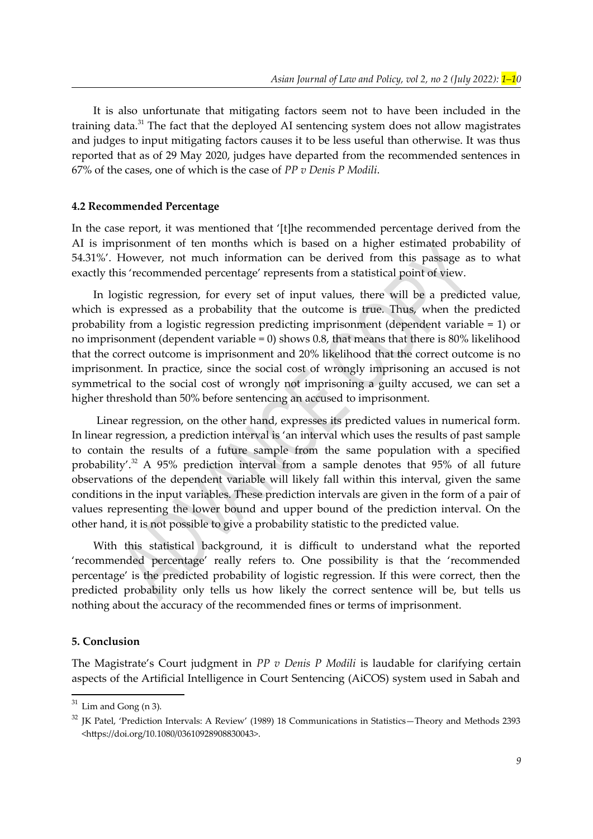<span id="page-8-0"></span>It is also unfortunate that mitigating factors seem not to have been included in the training data.<sup>[31](#page-8-1)</sup> The fact that the deployed AI sentencing system does not allow magistrates and judges to input mitigating factors causes it to be less useful than otherwise. It was thus reported that as of 29 May 2020, judges have departed from the recommended sentences in 67% of the cases, one of which is the case of *PP v Denis P Modili*.

#### **4.2 Recommended Percentage**

In the case report, it was mentioned that '[t]he recommended percentage derived from the AI is imprisonment of ten months which is based on a higher estimated probability of 54.31%'. However, not much information can be derived from this passage as to what exactly this 'recommended percentage' represents from a statistical point of view.

In logistic regression, for every set of input values, there will be a predicted value, which is expressed as a probability that the outcome is true. Thus, when the predicted probability from a logistic regression predicting imprisonment (dependent variable = 1) or no imprisonment (dependent variable = 0) shows 0.8, that means that there is 80% likelihood that the correct outcome is imprisonment and 20% likelihood that the correct outcome is no imprisonment. In practice, since the social cost of wrongly imprisoning an accused is not symmetrical to the social cost of wrongly not imprisoning a guilty accused, we can set a higher threshold than 50% before sentencing an accused to imprisonment.

<span id="page-8-2"></span> Linear regression, on the other hand, expresses its predicted values in numerical form. In linear regression, a prediction interval is 'an interval which uses the results of past sample to contain the results of a future sample from the same population with a specified probability'.<sup>[32](#page-8-3)</sup> A 95% prediction interval from a sample denotes that 95% of all future observations of the dependent variable will likely fall within this interval, given the same conditions in the input variables. These prediction intervals are given in the form of a pair of values representing the lower bound and upper bound of the prediction interval. On the other hand, it is not possible to give a probability statistic to the predicted value.

With this statistical background, it is difficult to understand what the reported 'recommended percentage' really refers to. One possibility is that the 'recommended percentage' is the predicted probability of logistic regression. If this were correct, then the predicted probability only tells us how likely the correct sentence will be, but tells us nothing about the accuracy of the recommended fines or terms of imprisonment.

#### **5. Conclusion**

The Magistrate's Court judgment in *PP v Denis P Modili* is laudable for clarifying certain aspects of the Artificial Intelligence in Court Sentencing (AiCOS) system used in Sabah and

<span id="page-8-1"></span> $31$  Lim and Gong (n [3](#page-1-5)).

<span id="page-8-3"></span> $32$  JK Patel, 'Prediction Intervals: A Review' (1989) 18 Communications in Statistics—Theory and Methods 2393 <https://doi.org/10.1080/03610928908830043>.